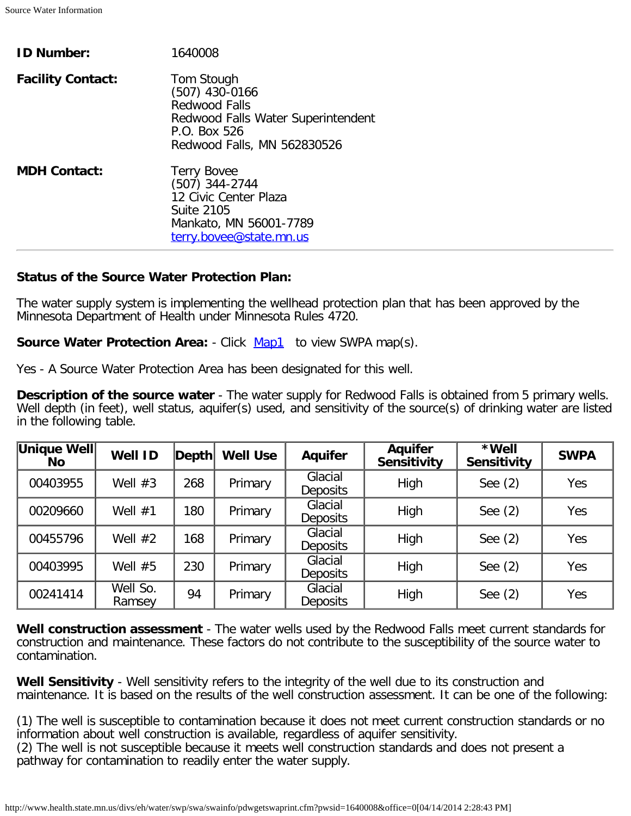| <b>ID Number:</b>        | 1640008                                                                                                                                     |
|--------------------------|---------------------------------------------------------------------------------------------------------------------------------------------|
| <b>Facility Contact:</b> | Tom Stough<br>$(507)$ 430-0166<br><b>Redwood Falls</b><br>Redwood Falls Water Superintendent<br>P.O. Box 526<br>Redwood Falls, MN 562830526 |
| <b>MDH Contact:</b>      | <b>Terry Bovee</b><br>$(507)$ 344-2744<br>12 Civic Center Plaza<br><b>Suite 2105</b><br>Mankato, MN 56001-7789<br>terry.bovee@state.mn.us   |

## **Status of the Source Water Protection Plan:**

The water supply system is implementing the wellhead protection plan that has been approved by the Minnesota Department of Health under Minnesota Rules 4720.

**Source Water Protection Area:** - Click **[Map1](http://www.health.state.mn.us/divs/eh/water/swp/swa/swainfo/jpg/swp00453.jpg)** to view SWPA map(s).

Yes - A Source Water Protection Area has been designated for this well.

**Description of the source water** - The water supply for Redwood Falls is obtained from 5 primary wells. Well depth (in feet), well status, aquifer(s) used, and sensitivity of the source(s) of drinking water are listed in the following table.

| Unique Well<br><b>No</b> | <b>Well ID</b>     | Depth | <b>Well Use</b> | <b>Aquifer</b>             | <b>Aquifer</b><br><b>Sensitivity</b> | *Well<br><b>Sensitivity</b> | <b>SWPA</b> |
|--------------------------|--------------------|-------|-----------------|----------------------------|--------------------------------------|-----------------------------|-------------|
| 00403955                 | Well $#3$          | 268   | Primary         | Glacial<br><b>Deposits</b> | High                                 | See $(2)$                   | Yes         |
| 00209660                 | Well $#1$          | 180   | Primary         | Glacial<br><b>Deposits</b> | High                                 | See $(2)$                   | Yes         |
| 00455796                 | Well $#2$          | 168   | Primary         | Glacial<br><b>Deposits</b> | High                                 | See $(2)$                   | Yes         |
| 00403995                 | Well $#5$          | 230   | Primary         | Glacial<br><b>Deposits</b> | High                                 | See $(2)$                   | Yes         |
| 00241414                 | Well So.<br>Ramsey | 94    | Primary         | Glacial<br>Deposits        | High                                 | See $(2)$                   | Yes         |

**Well construction assessment** - The water wells used by the Redwood Falls meet current standards for construction and maintenance. These factors do not contribute to the susceptibility of the source water to contamination.

**Well Sensitivity** - Well sensitivity refers to the integrity of the well due to its construction and maintenance. It is based on the results of the well construction assessment. It can be one of the following:

(1) The well is susceptible to contamination because it does not meet current construction standards or no information about well construction is available, regardless of aquifer sensitivity.

(2) The well is not susceptible because it meets well construction standards and does not present a pathway for contamination to readily enter the water supply.